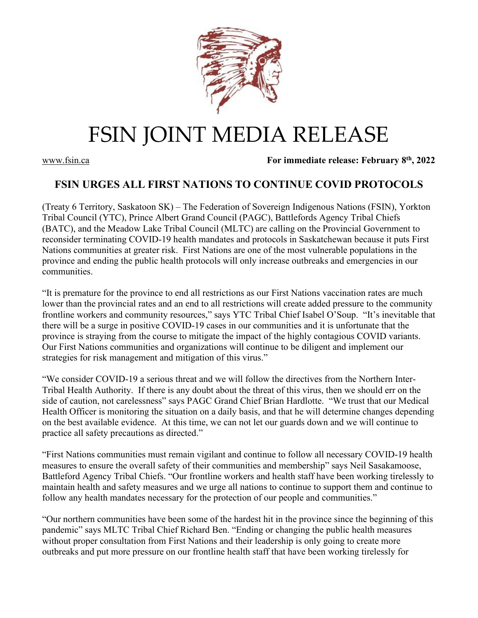

## FSIN JOINT MEDIA RELEASE

[www.fsin.ca](http://www.fsin.ca/) **For immediate release: February 8th, 2022**

## **FSIN URGES ALL FIRST NATIONS TO CONTINUE COVID PROTOCOLS**

(Treaty 6 Territory, Saskatoon SK) – The Federation of Sovereign Indigenous Nations (FSIN), Yorkton Tribal Council (YTC), Prince Albert Grand Council (PAGC), Battlefords Agency Tribal Chiefs (BATC), and the Meadow Lake Tribal Council (MLTC) are calling on the Provincial Government to reconsider terminating COVID-19 health mandates and protocols in Saskatchewan because it puts First Nations communities at greater risk. First Nations are one of the most vulnerable populations in the province and ending the public health protocols will only increase outbreaks and emergencies in our communities.

"It is premature for the province to end all restrictions as our First Nations vaccination rates are much lower than the provincial rates and an end to all restrictions will create added pressure to the community frontline workers and community resources," says YTC Tribal Chief Isabel O'Soup. "It's inevitable that there will be a surge in positive COVID-19 cases in our communities and it is unfortunate that the province is straying from the course to mitigate the impact of the highly contagious COVID variants. Our First Nations communities and organizations will continue to be diligent and implement our strategies for risk management and mitigation of this virus."

"We consider COVID-19 a serious threat and we will follow the directives from the Northern Inter-Tribal Health Authority. If there is any doubt about the threat of this virus, then we should err on the side of caution, not carelessness" says PAGC Grand Chief Brian Hardlotte. "We trust that our Medical Health Officer is monitoring the situation on a daily basis, and that he will determine changes depending on the best available evidence. At this time, we can not let our guards down and we will continue to practice all safety precautions as directed."

"First Nations communities must remain vigilant and continue to follow all necessary COVID-19 health measures to ensure the overall safety of their communities and membership" says Neil Sasakamoose, Battleford Agency Tribal Chiefs. "Our frontline workers and health staff have been working tirelessly to maintain health and safety measures and we urge all nations to continue to support them and continue to follow any health mandates necessary for the protection of our people and communities."

"Our northern communities have been some of the hardest hit in the province since the beginning of this pandemic" says MLTC Tribal Chief Richard Ben. "Ending or changing the public health measures without proper consultation from First Nations and their leadership is only going to create more outbreaks and put more pressure on our frontline health staff that have been working tirelessly for